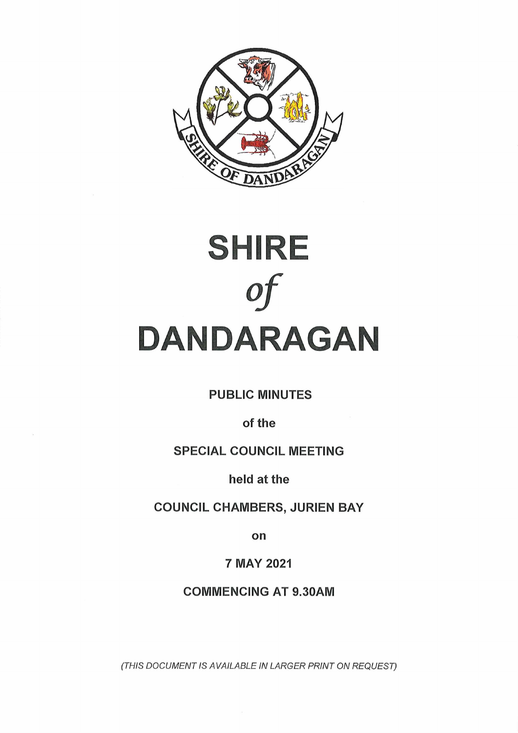



**PUBLIC MINUTES**

**of the**

# **SPECIAL COUNCIL MEETING**

**held at the**

**COUNCIL CHAMBERS, JURIEN BAY**

**on**

**7 MAY 2021**

**COMMENCING AT 9.30AM**

*(THIS DOCUMENT IS AVAILABLE IN LARGER PRINT ON REQUEST)*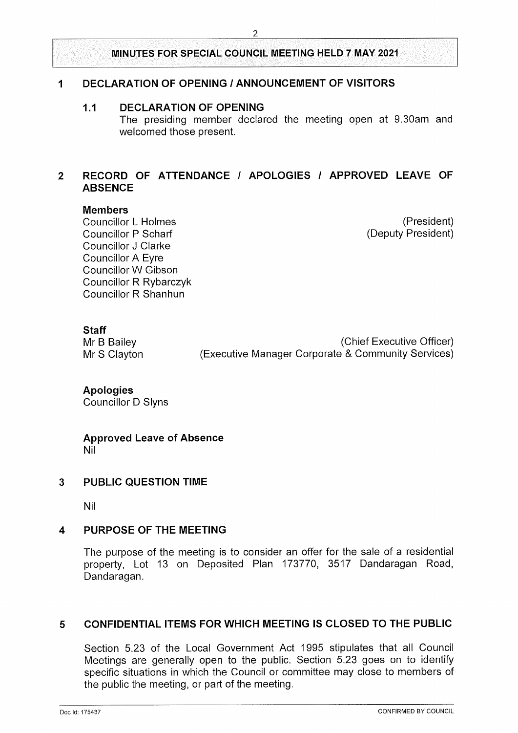# **<sup>1</sup> DECLARATION OF OPENING / ANNOUNCEMENT OF VISITORS**

#### **1.1 DECLARATION OF OPENING**

The presiding member declared the meeting open at 9.30am and welcomed those present.

# **2 RECORD OF ATTENDANCE / APOLOGIES / APPROVED LEAVE OF ABSENCE**

#### **Members**

Councillor L Holmes Councillor P Scharf Councillor J Clarke Councillor A Eyre Councillor W Gibson Councillor R Rybarczyk Councillor R Shanhun

(President) (Deputy President)

# **Staff**

Mr B Bailey **Mr B Bailey** (Chief Executive Officer) Mr S Clayton (Executive Manager Corporate & Community Services)

#### **Apologies** Councillor D Slyns

**Approved Leave of Absence** Nil

#### **3 PUBLIC QUESTION TIME**

Nil

# **4 PURPOSE OF THE MEETING**

The purpose of the meeting is to consider an offer for the sale of a residential property, Lot 13 on Deposited Plan 173770, 3517 Dandaragan Road, Dandaragan.

# **5 CONFIDENTIAL ITEMS FOR WHICH MEETING IS CLOSED TO THE PUBLIC**

Section 5.23 of the Local Government Act 1995 stipulates that all Council Meetings are generally open to the public. Section 5.23 goes on to identify specific situations in which the Council or committee may close to members of the public the meeting, or part of the meeting.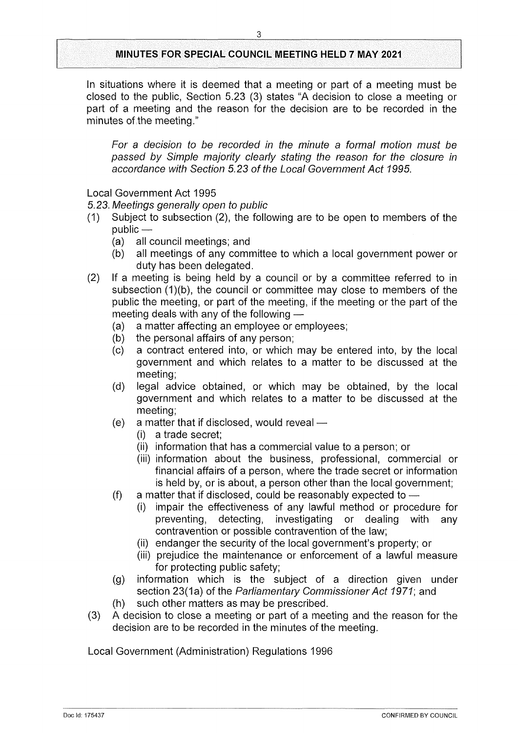In situations where it is deemed that a meeting or part of a meeting must be closed to the public, Section 5.23 (3) states "A decision to close a meeting or part of a meeting and the reason for the decision are to be recorded in the minutes of the meeting."

*For a decision to be recorded in the minute a formal motion must be passed by Simple majority clearly stating the reason for the closure in accordance with Section 5.23 of the Local Government Act 1995.*

Local Government Act 1995

*5.23. Meetings generally open to public*

- (1) Subject to subsection (2), the following are to be open to members of the public —
	- (a) all council meetings; and
	- (b) all meetings of any committee to which a local government power or duty has been delegated.
- (2) If a meeting is being held by a council or by a committee referred to in subsection (1)(b), the council or committee may close to members of the public the meeting, or part of the meeting, if the meeting or the part of the meeting deals with any of the following —
	- (a) a matter affecting an employee or employees;
	- (b) the personal affairs of any person;
	- (c) a contract entered into, or which may be entered into, by the local government and which relates to a matter to be discussed at the meeting;
	- (d) legal advice obtained, or which may be obtained, by the local government and which relates to a matter to be discussed at the meeting;
	- (e) a matter that if disclosed, would reveal
		- (i) a trade secret;
		- (ii) information that has a commercial value to a person; or
		- (iii) information about the business, professional, commercial or financial affairs of a person, where the trade secret or information is held by, or is about, a person other than the local government;
	- (f) a matter that if disclosed, could be reasonably expected to
		- (i) impair the effectiveness of any lawful method or procedure for preventing, detecting, investigating or dealing with any contravention or possible contravention of the law;
		- (ii) endanger the security of the local government's property; or
		- (iii) prejudice the maintenance or enforcement of a lawful measure for protecting public safety;
	- (g) information which is the subject of a direction given under section 23(1a) of the *Parliamentary Commissioner Act* 1971; and
	- (h) such other matters as may be prescribed.
- (3) A decision to close a meeting or part of a meeting and the reason for the decision are to be recorded in the minutes of the meeting.

Local Government (Administration) Regulations 1996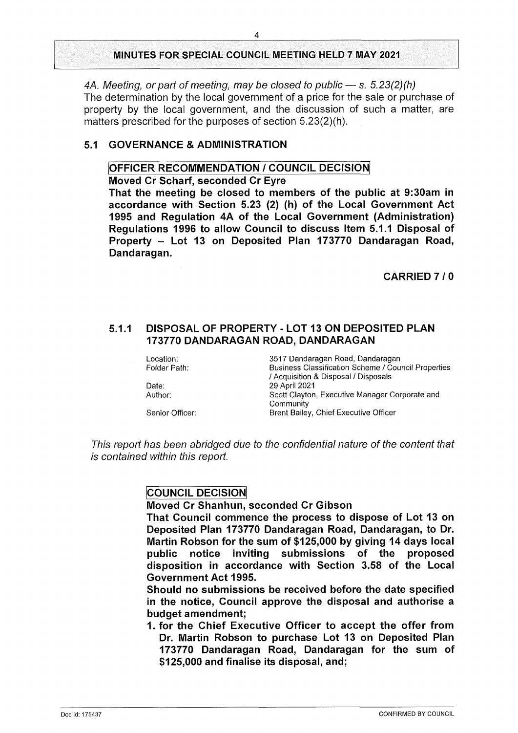*4A. Meeting, or part of meeting, may be closed to public* — s. *5.23(2)(h)*

The determination by the local government of a price for the sale or purchase of property by the local government, and the discussion of such a matter, are matters prescribed for the purposes of section 5.23(2)(h).

## **5.1 GOVERNANCE & ADMINISTRATION**

### **OFFICER RECOMMENDATION / COUNCIL DECISION**

**Moved Cr Scharf, seconded Cr Eyre**

**That the meeting be closed to members of the public at 9:30am in accordance with Section 5.23 (2) (h) of the Local Government Act 1995 and Regulation 4A of the Local Government (Administration) Regulations 1996 to allow Council to discuss Item 5.1.1 Disposal of Property - Lot <sup>13</sup> on Deposited Plan <sup>173770</sup> Dandaragan Road, Dandaragan.**

**CARRIED 7 / 0**

### **5.1.1 DISPOSAL OF PROPERTY - LOT 13 ON DEPOSITED PLAN 173770 DANDARAGAN ROAD, DANDARAGAN**

| Location:       | 3517 Dandaragan Road, Dandaragan                           |
|-----------------|------------------------------------------------------------|
| Folder Path:    | <b>Business Classification Scheme / Council Properties</b> |
|                 | / Acquisition & Disposal / Disposals                       |
| Date:           | 29 April 2021                                              |
| Author:         | Scott Clayton, Executive Manager Corporate and             |
|                 | Community                                                  |
| Senior Officer: | Brent Bailey, Chief Executive Officer                      |
|                 |                                                            |

*This report has been abridged due to the confidential nature of the content that is contained within this report.*

# **COUNCIL DECISION**

**Moved Cr Shanhun, seconded Cr Gibson**

**That Council commence the process to dispose of Lot 13 on Deposited Plan 173770 Dandaragan Road, Dandaragan, to Dr. Martin Robson for the sum of \$125,000 by giving 14 days local public notice inviting submissions of the proposed disposition in accordance with Section 3.58 of the Local Government Act 1995.**

**Should no submissions be received before the date specified in the notice, Council approve the disposal and authorise a budget amendment;**

**1. for the Chief Executive Officer to accept the offer from Dr. Martin Robson to purchase Lot 13 on Deposited Plan 173770 Dandaragan Road, Dandaragan for the sum of \$125,000 and finalise its disposal, and;**